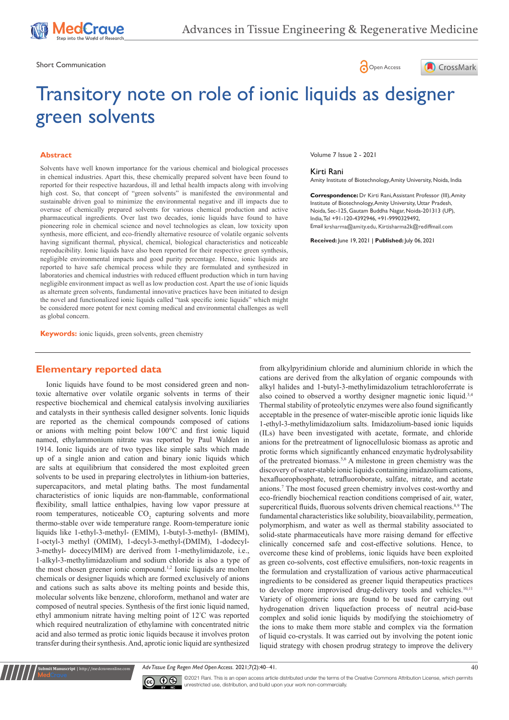

Short Communication and the state of the state of the state of the Spen Access of the Spen Access of the Spen Access of the Spen Access of the Spen Access of the Spen Access of the Spen Access of the Spen Access of the Spe





# Transitory note on role of ionic liquids as designer green solvents

#### **Abstract**

Solvents have well known importance for the various chemical and biological processes in chemical industries. Apart this, these chemically prepared solvent have been found to reported for their respective hazardous, ill and lethal health impacts along with involving high cost. So, that concept of "green solvents" is manifested the environmental and sustainable driven goal to minimize the environmental negative and ill impacts due to overuse of chemically prepared solvents for various chemical production and active pharmaceutical ingredients. Over last two decades, ionic liquids have found to have pioneering role in chemical science and novel technologies as clean, low toxicity upon synthesis, more efficient, and eco-friendly alternative resource of volatile organic solvents having significant thermal, physical, chemical, biological characteristics and noticeable reproducibility. Ionic liquids have also been reported for their respective green synthesis, negligible environmental impacts and good purity percentage. Hence, ionic liquids are reported to have safe chemical process while they are formulated and synthesized in laboratories and chemical industries with reduced effluent production which in turn having negligible environment impact as well as low production cost. Apart the use of ionic liquids as alternate green solvents, fundamental innovative practices have been initiated to design the novel and functionalized ionic liquids called "task specific ionic liquids" which might be considered more potent for next coming medical and environmental challenges as well as global concern.

**Keywords:** ionic liquids, green solvents, green chemistry

## **Elementary reported data**

Ionic liquids have found to be most considered green and nontoxic alternative over volatile organic solvents in terms of their respective biochemical and chemical catalysis involving auxiliaries and catalysts in their synthesis called designer solvents. Ionic liquids are reported as the chemical compounds composed of cations or anions with melting point below 100°C and first ionic liquid named, ethylammonium nitrate was reported by Paul Walden in 1914. Ionic liquids are of two types like simple salts which made up of a single anion and cation and binary ionic liquids which are salts at equilibrium that considered the most exploited green solvents to be used in preparing electrolytes in lithium-ion batteries, supercapacitors, and metal plating baths. The most fundamental characteristics of ionic liquids are non-flammable, conformational flexibility, small lattice enthalpies, having low vapor pressure at room temperatures, noticeable  $CO<sub>2</sub>$  capturing solvents and more thermo-stable over wide temperature range. Room-temperature ionic liquids like 1-ethyl-3-methyl- (EMIM), 1-butyl-3-methyl- (BMIM), 1-octyl-3 methyl (OMIM), 1-decyl-3-methyl-(DMIM), 1-dodecyl-3-methyl- docecylMIM) are derived from 1-methylimidazole, i.e., 1-alkyl-3-methylimidazolium and sodium chloride is also a type of the most chosen greener ionic compound.<sup>1,2</sup> Ionic liquids are molten chemicals or designer liquids which are formed exclusively of anions and cations such as salts above its melting points and beside this, molecular solvents like benzene, chloroform, methanol and water are composed of neutral species. Synthesis of the first ionic liquid named, ethyl ammonium nitrate having melting point of 12° C was reported which required neutralization of ethylamine with concentrated nitric acid and also termed as protic ionic liquids because it involves proton transfer during their synthesis. And, aprotic ionic liquid are synthesized

Volume 7 Issue 2 - 2021

#### Kirti Rani

Amity Institute of Biotechnology, Amity University, Noida, India

**Correspondence:** Dr Kirti Rani, Assistant Professor (III), Amity Institute of Biotechnology, Amity University, Uttar Pradesh, Noida, Sec-125, Gautam Buddha Nagar, Noida-201313 (UP), India, Tel +91-120-4392946, +91-9990329492, Email krsharma@amity.edu, Kirtisharma2k@rediffmail.com

**Received:** June 19, 2021 | **Published:** July 06, 2021

from alkylpyridinium chloride and aluminium chloride in which the cations are derived from the alkylation of organic compounds with alkyl halides and 1-butyl-3-methylimidazolium tetrachloroferrate is also coined to observed a worthy designer magnetic ionic liquid.<sup>3,4</sup> Thermal stability of proteolytic enzymes were also found significantly acceptable in the presence of water-miscible aprotic ionic liquids like 1-ethyl-3-methylimidazolium salts. Imidazolium-based ionic liquids (ILs) have been investigated with acetate, formate, and chloride anions for the pretreatment of lignocellulosic biomass as aprotic and protic forms which significantly enhanced enzymatic hydrolysability of the pretreated biomass.<sup>5,6</sup> A milestone in green chemistry was the discovery of water-stable ionic liquids containing imidazolium cations, hexafluorophosphate, tetrafluoroborate, sulfate, nitrate, and acetate anions.7 The most focused green chemistry involves cost-worthy and eco-friendly biochemical reaction conditions comprised of air, water, supercritical fluids, fluorous solvents driven chemical reactions.<sup>8,9</sup> The fundamental characteristics like solubility, bioavailability, permeation, polymorphism, and water as well as thermal stability associated to solid-state pharmaceuticals have more raising demand for effective clinically concerned safe and cost-effective solutions. Hence, to overcome these kind of problems, ionic liquids have been exploited as green co-solvents, cost effective emulsifiers, non-toxic reagents in the formulation and crystallization of various active pharmaceutical ingredients to be considered as greener liquid therapeutics practices to develop more improvised drug-delivery tools and vehicles.<sup>10,11</sup> Variety of oligomeric ions are found to be used for carrying out hydrogenation driven liquefaction process of neutral acid-base complex and solid ionic liquids by modifying the stoichiometry of the ions to make them more stable and complex via the formation of liquid co-crystals. It was carried out by involving the potent ionic liquid strategy with chosen prodrug strategy to improve the delivery

*Adv Tissue Eng Regen Med Open Access.* 2021;7(2):40‒41. 40



**it Manuscript** | http://medcraveonline.c

©2021 Rani. This is an open access article distributed under the terms of the [Creative Commons Attribution License,](https://creativecommons.org/licenses/by-nc/4.0/) which permits unrestricted use, distribution, and build upon your work non-commercially.